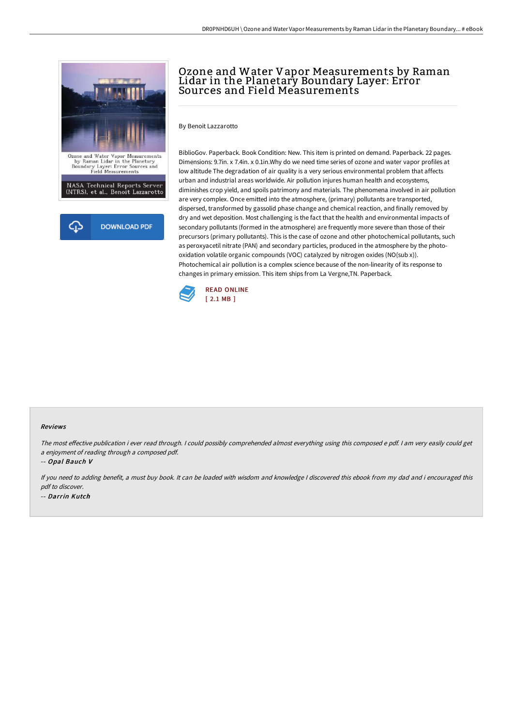

# Ozone and Water Vapor Measurements by Raman Lidar in the Planetary Boundary Layer: Error Sources and Field Measurements

By Benoit Lazzarotto

BiblioGov. Paperback. Book Condition: New. This item is printed on demand. Paperback. 22 pages. Dimensions: 9.7in. x 7.4in. x 0.1in.Why do we need time series of ozone and water vapor profiles at low altitude The degradation of air quality is a very serious environmental problem that affects urban and industrial areas worldwide. Air pollution injures human health and ecosystems, diminishes crop yield, and spoils patrimony and materials. The phenomena involved in air pollution are very complex. Once emitted into the atmosphere, (primary) pollutants are transported, dispersed, transformed by gassolid phase change and chemical reaction, and finally removed by dry and wet deposition. Most challenging is the fact that the health and environmental impacts of secondary pollutants (formed in the atmosphere) are frequently more severe than those of their precursors (primary pollutants). This is the case of ozone and other photochemical pollutants, such as peroxyacetil nitrate (PAN) and secondary particles, produced in the atmosphere by the photooxidation volatile organic compounds (VOC) catalyzed by nitrogen oxides (NO(sub x)). Photochemical air pollution is a complex science because of the non-linearity of its response to changes in primary emission. This item ships from La Vergne,TN. Paperback.



#### Reviews

The most effective publication i ever read through. I could possibly comprehended almost everything using this composed e pdf. I am very easily could get <sup>a</sup> enjoyment of reading through <sup>a</sup> composed pdf.

-- Opal Bauch V

If you need to adding benefit, <sup>a</sup> must buy book. It can be loaded with wisdom and knowledge <sup>I</sup> discovered this ebook from my dad and i encouraged this pdf to discover. -- Darrin Kutch